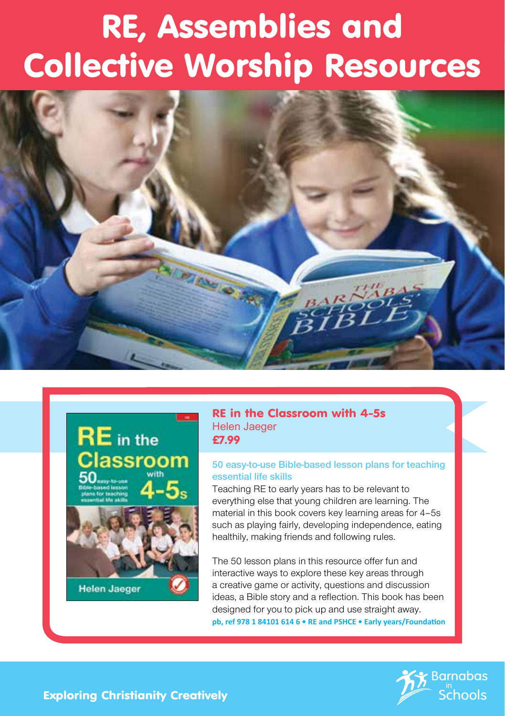# RE, Assemblies and Collective Worship Resources





**Helen Jaeger** 

#### RE in the Classroom with 4-5s Helen Jaeger £7.99

#### **50 easy-to-use Bible-based lesson plans for teaching essential life skills**

Teaching RE to early years has to be relevant to everything else that young children are learning. The material in this book covers key learning areas for 4–5s such as playing fairly, developing independence, eating healthily, making friends and following rules.

The 50 lesson plans in this resource offer fun and interactive ways to explore these key areas through a creative game or activity, questions and discussion ideas, a Bible story and a reflection. This book has been designed for you to pick up and use straight away. **pb, ref 978 1 84101 614 6 • RE and PSHCE • Early years/Foundation**



Exploring Christianity Creatively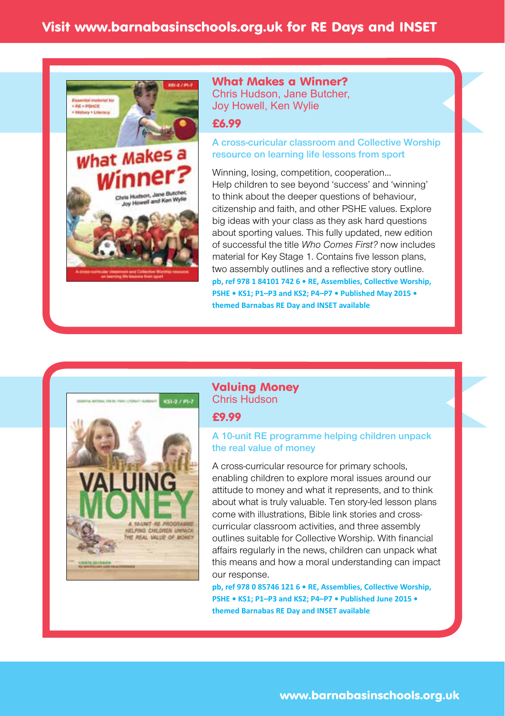

#### What Makes a Winner? Chris Hudson, Jane Butcher, Joy Howell, Ken Wylie

#### £6.99

#### **A cross-curicular classroom and Collective Worship resource on learning life lessons from sport**

Winning, losing, competition, cooperation… Help children to see beyond 'success' and 'winning' to think about the deeper questions of behaviour, citizenship and faith, and other PSHE values. Explore big ideas with your class as they ask hard questions about sporting values. This fully updated, new edition of successful the title *Who Comes First?* now includes material for Key Stage 1. Contains five lesson plans, two assembly outlines and a reflective story outline. **pb, ref 978 1 84101 742 6 • RE, Assemblies, Collective Worship, PSHE • KS1; P1–P3 and KS2; P4–P7 • Published May 2015 • themed Barnabas RE Day and INSET available**



#### Valuing Money Chris Hudson

#### £9.99

#### **A 10-unit RE programme helping children unpack the real value of money**

A cross-curricular resource for primary schools, enabling children to explore moral issues around our attitude to money and what it represents, and to think about what is truly valuable. Ten story-led lesson plans come with illustrations, Bible link stories and crosscurricular classroom activities, and three assembly outlines suitable for Collective Worship. With financial affairs regularly in the news, children can unpack what this means and how a moral understanding can impact our response.

**pb, ref 978 0 85746 121 6 • RE, Assemblies, Collective Worship, PSHE • KS1; P1–P3 and KS2; P4–P7 • Published June 2015 • themed Barnabas RE Day and INSET available**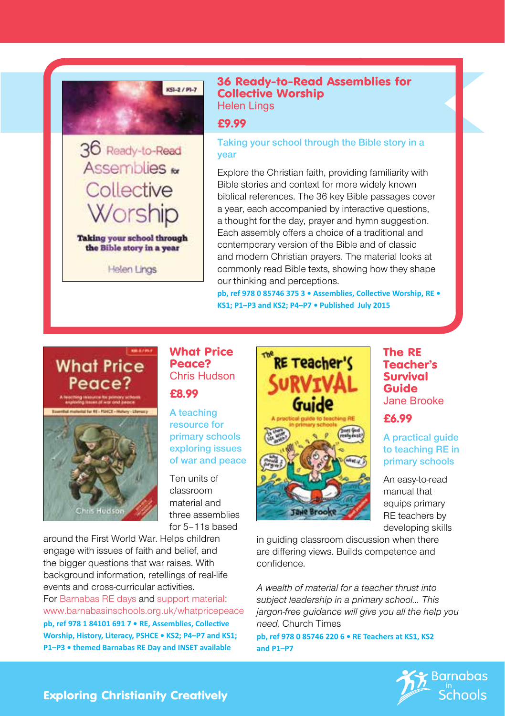

36 Ready-to-Read Assemblies **M** Collective

Worship

Taking your school through the Bible story in a year Helen Lings

36 Ready-to-Read Assemblies for Collective Worship Helen Lings

£9.99

**Taking your school through the Bible story in a year**

Explore the Christian faith, providing familiarity with Bible stories and context for more widely known biblical references. The 36 key Bible passages cover a year, each accompanied by interactive questions, a thought for the day, prayer and hymn suggestion. Each assembly offers a choice of a traditional and contemporary version of the Bible and of classic and modern Christian prayers. The material looks at commonly read Bible texts, showing how they shape our thinking and perceptions.

**pb, ref 978 0 85746 375 3 • Assemblies, Collective Worship, RE • KS1; P1–P3 and KS2; P4–P7 • Published July 2015**

## **What Price** Peace?



#### What Price Peace? Chris Hudson

£8.99

**A teaching resource for primary schools exploring issues of war and peace**

Ten units of classroom material and three assemblies for 5–11s based

around the First World War. Helps children engage with issues of faith and belief, and the bigger questions that war raises. With background information, retellings of real-life events and cross-curricular activities. For Barnabas RE days and support material: www.barnabasinschools.org.uk/whatpricepeace **pb, ref 978 1 84101 691 7 • RE, Assemblies, Collective Worship, History, Literacy, PSHCE • KS2; P4–P7 and KS1; P1–P3 • themed Barnabas RE Day and INSET available**



The RE Teacher's Survival Guide Jane Brooke

£6.99

**A practical guide to teaching RE in primary schools**

An easy-to-read manual that equips primary RE teachers by developing skills

in guiding classroom discussion when there are differing views. Builds competence and confidence.

*A wealth of material for a teacher thrust into subject leadership in a primary school… This jargon-free guidance will give you all the help you need.* Church Times

**pb, ref 978 0 85746 220 6 • RE Teachers at KS1, KS2 and P1–P7**



Exploring Christianity Creatively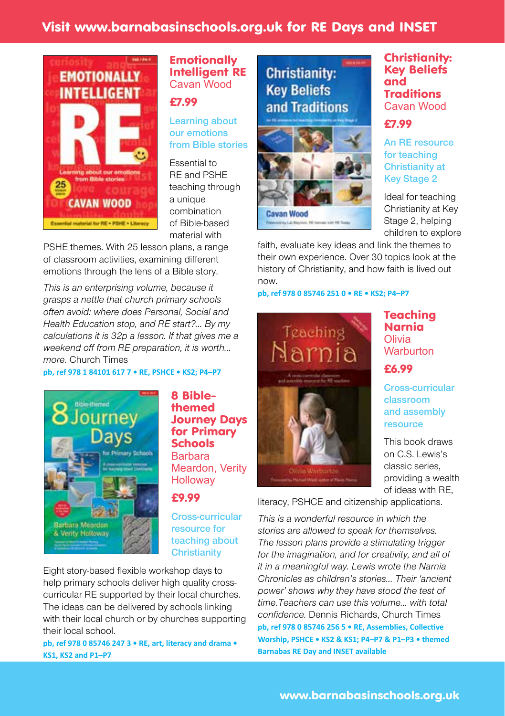## Visit www.barnabasinschools.org.uk for RE Days and INSET



#### **Emotionally** Intelligent RE Cavan Wood

£7.99

**Learning about our emotions from Bible stories**

Essential to RE and PSHE teaching through a unique combination of Bible-based material with

PSHE themes. With 25 lesson plans, a range of classroom activities, examining different emotions through the lens of a Bible story.

*This is an enterprising volume, because it grasps a nettle that church primary schools often avoid: where does Personal, Social and Health Education stop, and RE start?… By my calculations it is 32p a lesson. If that gives me a weekend off from RE preparation, it is worth… more.* Church Times

#### **pb, ref 978 1 84101 617 7 • RE, PSHCE • KS2; P4–P7**



8 Biblethemed Journey Days for Primary Schools Barbara Meardon, Verity **Holloway** 

#### £9.99

**Cross-curricular resource for teaching about Christianity**

Eight story-based flexible workshop days to help primary schools deliver high quality crosscurricular RE supported by their local churches. The ideas can be delivered by schools linking with their local church or by churches supporting their local school.

**pb, ref 978 0 85746 247 3 • RE, art, literacy and drama • KS1, KS2 and P1–P7**

## **Christianity: Key Beliefs** and Traditions



faith, evaluate key ideas and link the themes to their own experience. Over 30 topics look at the history of Christianity, and how faith is lived out now.

**pb, ref 978 0 85746 251 0 • RE • KS2; P4–P7**



**Teaching** Narnia Olivia **Warburton** 

£6.99

**Cross-curricular classroom and assembly resource**

This book draws on C.S. Lewis's classic series, providing a wealth of ideas with RE,

literacy, PSHCE and citizenship applications.

*This is a wonderful resource in which the stories are allowed to speak for themselves. The lesson plans provide a stimulating trigger for the imagination, and for creativity, and all of it in a meaningful way. Lewis wrote the Narnia Chronicles as children's stories… Their 'ancient power' shows why they have stood the test of time.Teachers can use this volume… with total confidence.* Dennis Richards, Church Times **pb, ref 978 0 85746 256 5 • RE, Assemblies, Collective Worship, PSHCE • KS2 & KS1; P4–P7 & P1–P3 • themed Barnabas RE Day and INSET available**

#### Christianity: Key Beliefs and Traditions Cavan Wood

## £7.99

**An RE resource for teaching Christianity at Key Stage 2**

Ideal for teaching Christianity at Key Stage 2, helping children to explore

www.barnabasinschools.org.uk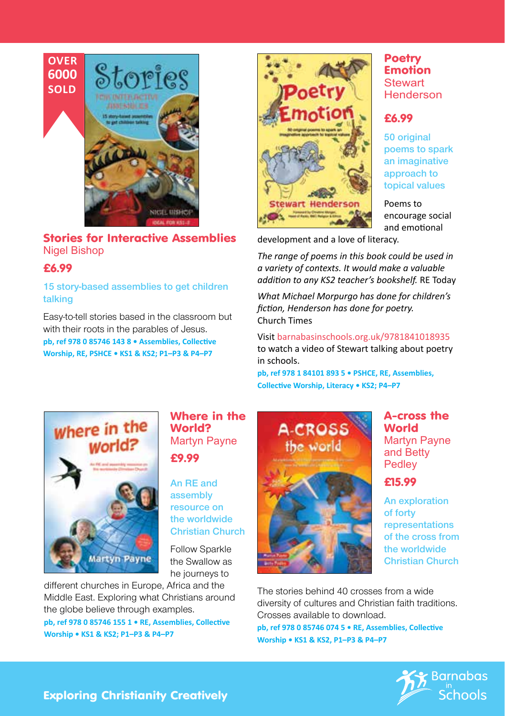

Stories for Interactive Assemblies Nigel Bishop

#### £6.99

**15 story-based assemblies to get children talking**

Easy-to-tell stories based in the classroom but with their roots in the parables of Jesus.

**pb, ref 978 0 85746 143 8 • Assemblies, Collective Worship, RE, PSHCE • KS1 & KS2; P1–P3 & P4–P7**



#### **Poetry Emotion Stewart Henderson**

#### £6.99

**50 original poems to spark an imaginative approach to topical values**

Poems to encourage social and emotional

development and a love of literacy.

*The range of poems in this book could be used in a variety of contexts. It would make a valuable addition to any KS2 teacher's bookshelf.* RE Today

*What Michael Morpurgo has done for children's fiction, Henderson has done for poetry.* Church Times

Visit barnabasinschools.org.uk/9781841018935 to watch a video of Stewart talking about poetry in schools.

**pb, ref 978 1 84101 893 5 • PSHCE, RE, Assemblies, Collective Worship, Literacy • KS2; P4–P7**



#### Where in the World? Martyn Payne £9.99

**An RE and assembly resource on the worldwide Christian Church**

Follow Sparkle the Swallow as he journeys to

different churches in Europe, Africa and the Middle East. Exploring what Christians around the globe believe through examples. **pb, ref 978 0 85746 155 1 • RE, Assemblies, Collective Worship • KS1 & KS2; P1–P3 & P4–P7**



#### A-cross the World Martyn Payne and Betty **Pedley**

#### £15.99

**An exploration of forty representations of the cross from the worldwide Christian Church**

The stories behind 40 crosses from a wide diversity of cultures and Christian faith traditions. Crosses available to download. **pb, ref 978 0 85746 074 5 • RE, Assemblies, Collective Worship • KS1 & KS2, P1–P3 & P4–P7**



#### Exploring Christianity Creatively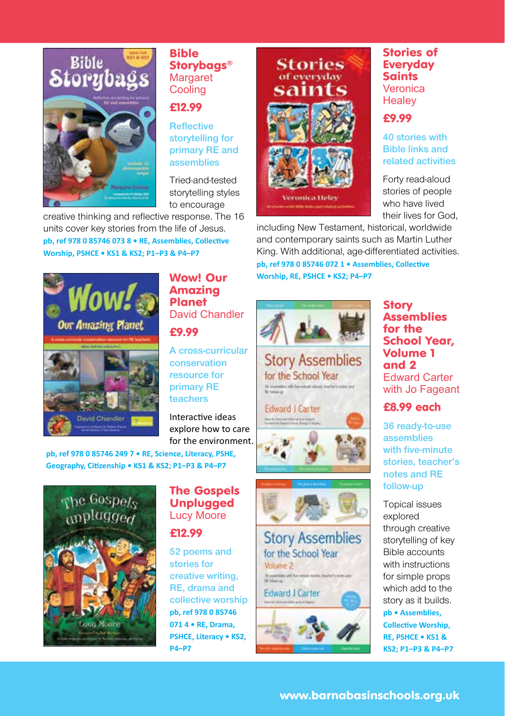

#### Bible Storybags® Margaret **Cooling**

#### £12.99

**Reflective storytelling for primary RE and assemblies**

Tried-and-tested storytelling styles to encourage

creative thinking and reflective response. The 16 units cover key stories from the life of Jesus. **pb, ref 978 0 85746 073 8 • RE, Assemblies, Collective Worship, PSHCE • KS1 & KS2; P1–P3 & P4–P7**



Wow! Our Amazing Planet David Chandler

£9.99

**A cross-curricular conservation resource for primary RE teachers**

Interactive ideas explore how to care for the environment.

**pb, ref 978 0 85746 249 7 • RE, Science, Literacy, PSHE, Geography, Citizenship • KS1 & KS2; P1–P3 & P4–P7** 



#### The Gospels **Unplugged** Lucy Moore

£12.99

**52 poems and stories for creative writing, RE, drama and collective worship pb, ref 978 0 85746 071 4 • RE, Drama, PSHCE, Literacy • KS2, P4–P7**



#### Stories of Everyday **Saints** Veronica **Healey**

### £9.99

**40 stories with Bible links and related activities**

Forty read-aloud stories of people who have lived their lives for God,

including New Testament, historical, worldwide and contemporary saints such as Martin Luther King. With additional, age-differentiated activities. **pb, ref 978 0 85746 072 1 • Assemblies, Collective Worship, RE, PSHCE • KS2; P4–P7**





**Story Assemblies** for the School Year Volume 2 **Edward I Carter** 

**Story Assemblies** for the School Year, Volume 1 and 2 Edward Carter with Jo Fageant

£8.99 each

**36 ready-to-use assemblies with five-minute stories, teacher's notes and RE follow-up**

Topical issues explored through creative storytelling of key Bible accounts with instructions for simple props which add to the story as it builds.

**pb • Assemblies, Collective Worship, RE, PSHCE • KS1 & KS2; P1–P3 & P4–P7**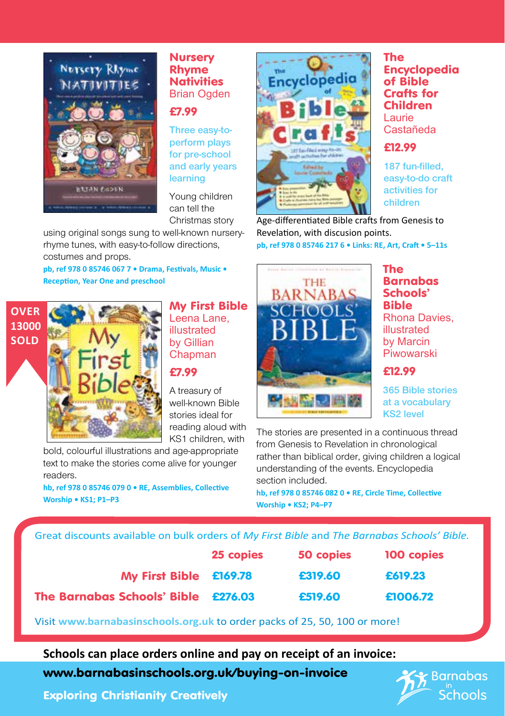

#### **Nursery** Rhyme **Nativities** Brian Ogden

#### £7.99

**Three easy-toperform plays for pre-school and early years learning**

Young children can tell the Christmas story

using original songs sung to well-known nurseryrhyme tunes, with easy-to-follow directions, costumes and props.

**pb, ref 978 0 85746 067 7 • Drama, Festivals, Music • Reception, Year One and preschool**



#### My First Bible Leena Lane, illustrated by Gillian Chapman

£7.99

A treasury of well-known Bible stories ideal for reading aloud with KS1 children, with

bold, colourful illustrations and age-appropriate text to make the stories come alive for younger readers.

**hb, ref 978 0 85746 079 0 • RE, Assemblies, Collective Worship • KS1; P1–P3**



The Encyclopedia of Bible Crafts for Children Laurie Castañeda

#### £12.99

**187 fun-filled, easy-to-do craft activities for children**

Age-differentiated Bible crafts from Genesis to Revelation, with discusion points. **pb, ref 978 0 85746 217 6 • Links: RE, Art, Craft • 5–11s**



The Barnabas Schools' Bible Rhona Davies, illustrated by Marcin Piwowarski

#### £12.99

**365 Bible stories at a vocabulary KS2 level**

The stories are presented in a continuous thread from Genesis to Revelation in chronological rather than biblical order, giving children a logical understanding of the events. Encyclopedia section included.

**hb, ref 978 0 85746 082 0 • RE, Circle Time, Collective Worship • KS2; P4–P7**

#### Great discounts available on bulk orders of *My First Bible* and *The Barnabas Schools' Bible.*

|                                     | 25 copies | 50 copies | 100 copies |
|-------------------------------------|-----------|-----------|------------|
| My First Bible £169.78              |           | £319.60   | £619.23    |
| The Barnabas Schools' Bible £276.03 |           | £519.60   | £1006.72   |

Visit **www.barnabasinschools.org.uk** to order packs of 25, 50, 100 or more!

## **Schools can place orders online and pay on receipt of an invoice:**

www.barnabasinschools.org.uk/buying-on-invoice